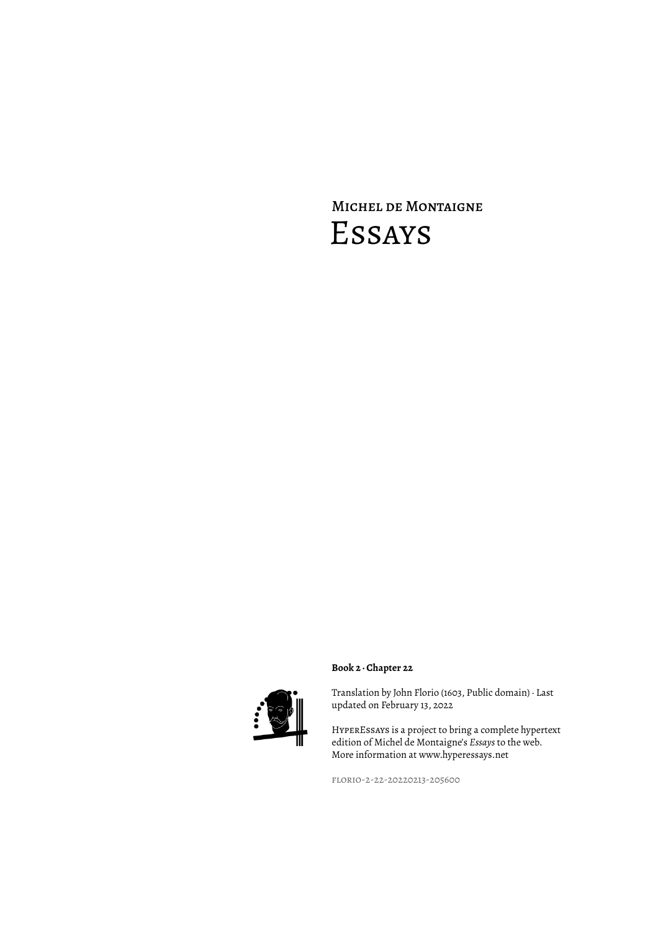## Michel de Montaigne Essays



## **Book 2 · Chapter 22**

Translation by John Florio (1603, Public domain) · Last updated on February 13, 2022

HyperEssays is a project to bring a complete hypertext edition of Michel de Montaigne's *Essays* to the web. More information at www.hyperessays.net

florio-2-22-20220213-205600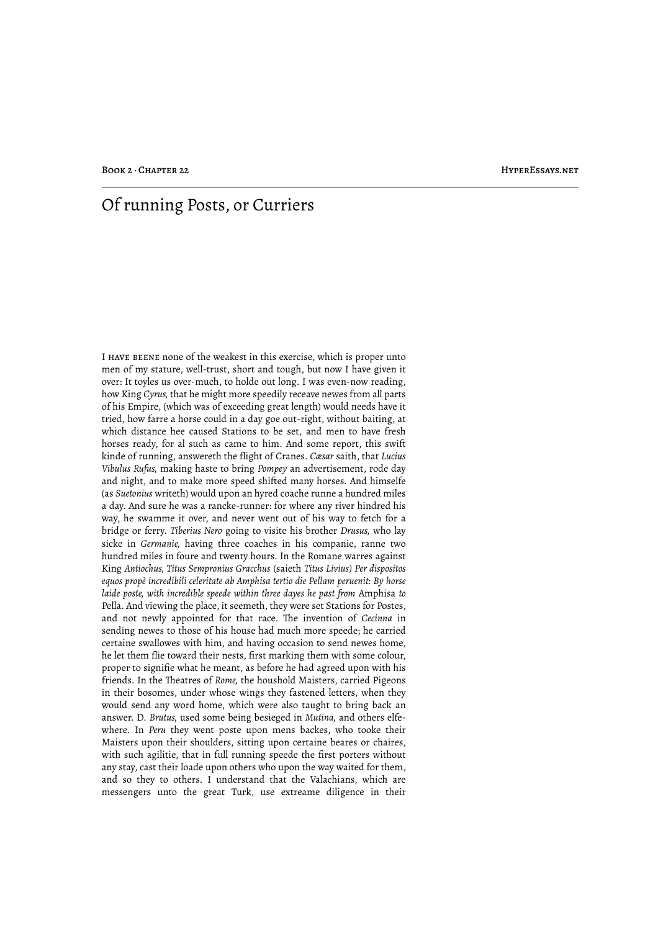## Of running Posts, or Curriers

I have beene none of the weakest in this exercise, which is proper unto men of my stature, well-trust, short and tough, but now I have given it over: It toyles us over-much, to holde out long. I was even-now reading, how King *Cyrus,* that he might more speedily receave newes from all parts of his Empire, (which was of exceeding great length) would needs have it tried, how farre a horse could in a day goe out-right, without baiting, at which distance hee caused Stations to be set, and men to have fresh horses ready, for al such as came to him. And some report, this swift kinde of running, answereth the flight of Cranes. *Cæsar* saith, that *Lucius Vibulus Rufus,* making haste to bring *Pompey* an advertisement, rode day and night, and to make more speed shifted many horses. And himselfe (as *Suetonius* writeth) would upon an hyred coache runne a hundred miles a day. And sure he was a rancke-runner: for where any river hindred his way, he swamme it over, and never went out of his way to fetch for a bridge or ferry. *Tiberius Nero* going to visite his brother *Drusus,* who lay sicke in *Germanie,* having three coaches in his companie, ranne two hundred miles in foure and twenty hours. In the Romane warres against King *Antiochus, Titus Sempronius Gracchus* (saieth *Titus Livius) Per dispositos equos propè incredibili celeritate ab Amphisa tertio die Pellam peruenit: By horse laide poste, with incredible speede within three dayes he past from* Amphisa *to* Pella. And viewing the place, it seemeth, they were set Stations for Postes, and not newly appointed for that race. The invention of *Cecinna* in sending newes to those of his house had much more speede; he carried certaine swallowes with him, and having occasion to send newes home, he let them flie toward their nests, first marking them with some colour, proper to signifie what he meant, as before he had agreed upon with his friends. In the Theatres of *Rome*, the houshold Maisters, carried Pigeons in their bosomes, under whose wings they fastened letters, when they would send any word home, which were also taught to bring back an answer. D. *Brutus,* used some being besieged in *Mutina,* and others elfewhere. In *Peru* they went poste upon mens backes, who tooke their Maisters upon their shoulders, sitting upon certaine beares or chaires, with such agilitie, that in full running speede the first porters without any stay, cast their loade upon others who upon the way waited for them, and so they to others. I understand that the Valachians, which are messengers unto the great Turk, use extreame diligence in their